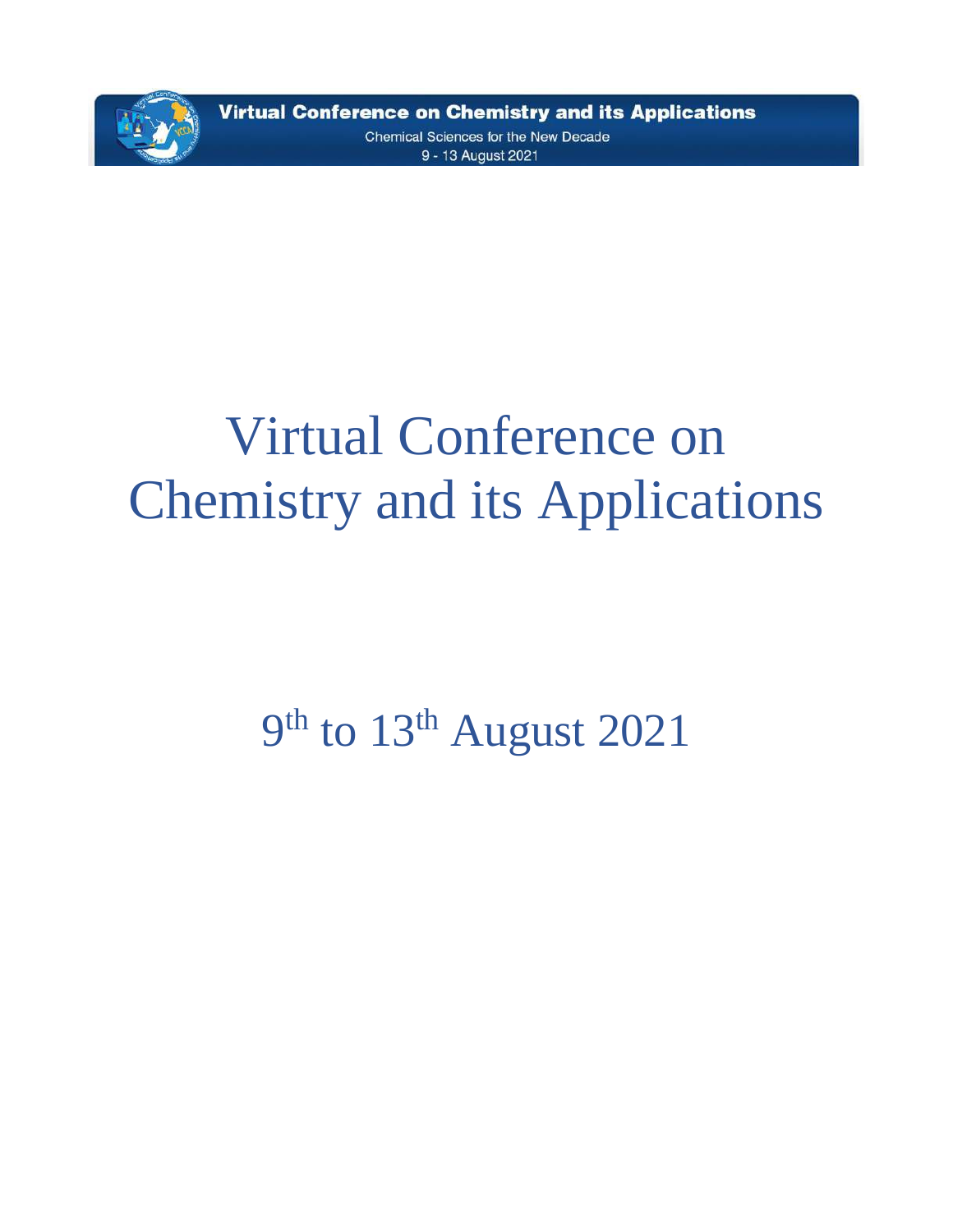

**Virtual Conference on Chemistry and its Applications** Chemical Sciences for the New Decade 9 - 13 August 2021

# Virtual Conference on Chemistry and its Applications

9<sup>th</sup> to 13<sup>th</sup> August 2021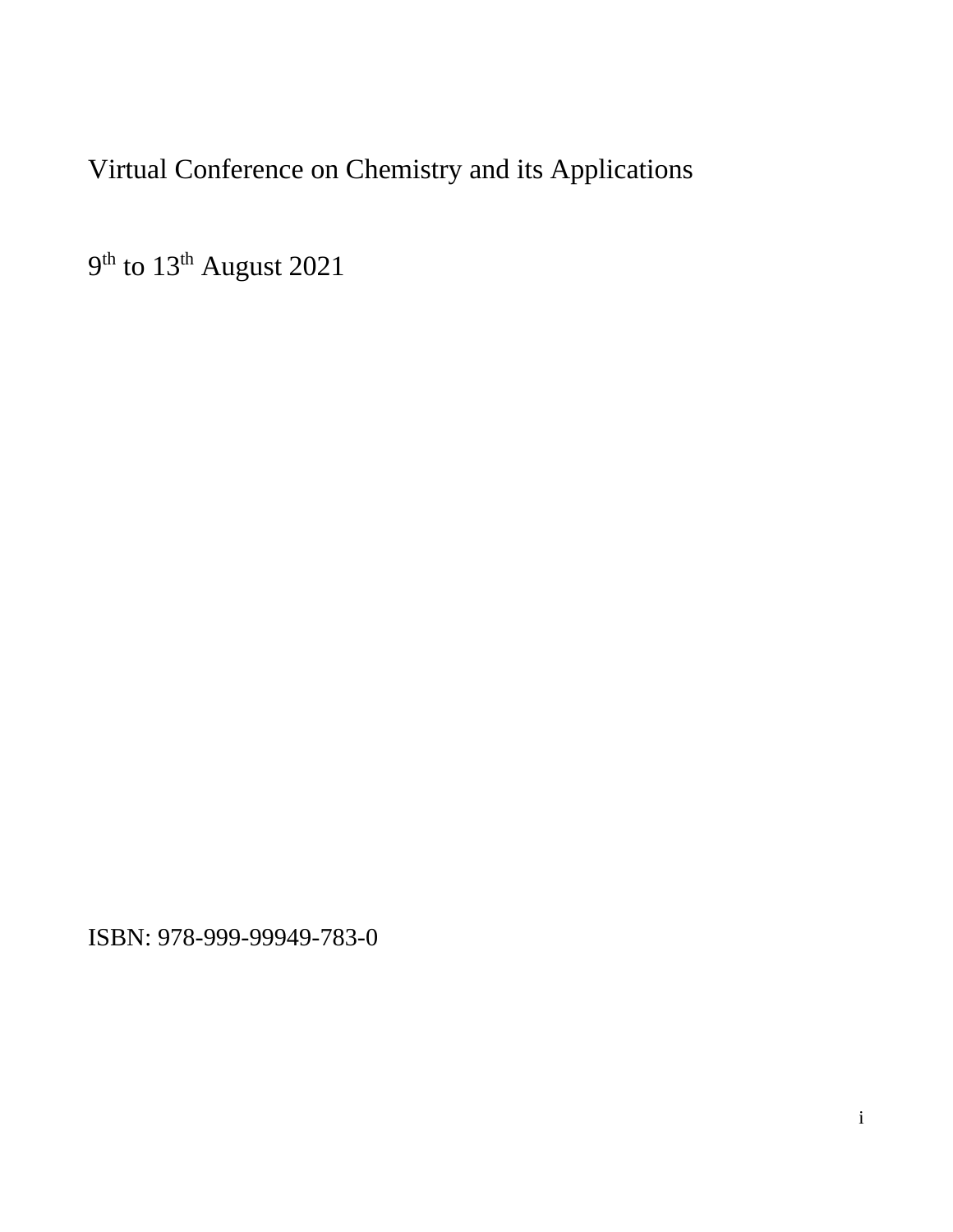## Virtual Conference on Chemistry and its Applications

9<sup>th</sup> to 13<sup>th</sup> August 2021

ISBN: 978-999-99949-783-0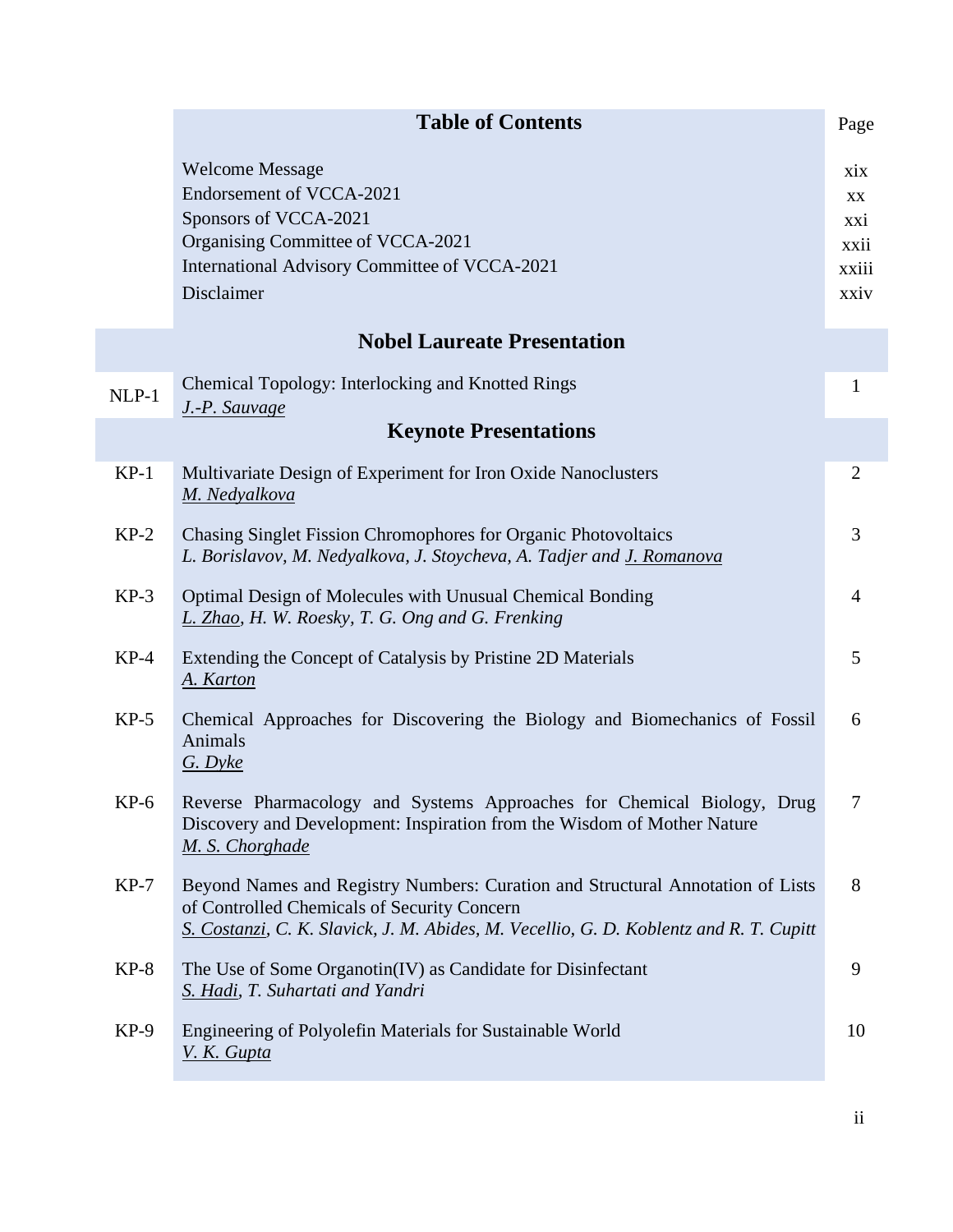|         | <b>Table of Contents</b>                                                                                                                                                                                                | Page                                             |
|---------|-------------------------------------------------------------------------------------------------------------------------------------------------------------------------------------------------------------------------|--------------------------------------------------|
|         | <b>Welcome Message</b><br>Endorsement of VCCA-2021<br>Sponsors of VCCA-2021<br>Organising Committee of VCCA-2021<br>International Advisory Committee of VCCA-2021<br>Disclaimer                                         | xix<br><b>XX</b><br>XX1<br>xxii<br>xxiii<br>xxiv |
|         | <b>Nobel Laureate Presentation</b>                                                                                                                                                                                      |                                                  |
| $NLP-1$ | Chemical Topology: Interlocking and Knotted Rings<br>J.-P. Sauvage                                                                                                                                                      | $\mathbf{1}$                                     |
|         | <b>Keynote Presentations</b>                                                                                                                                                                                            |                                                  |
| $KP-1$  | Multivariate Design of Experiment for Iron Oxide Nanoclusters<br>M. Nedyalkova                                                                                                                                          | $\overline{2}$                                   |
| $KP-2$  | Chasing Singlet Fission Chromophores for Organic Photovoltaics<br>L. Borislavov, M. Nedyalkova, J. Stoycheva, A. Tadjer and J. Romanova                                                                                 | 3                                                |
| $KP-3$  | Optimal Design of Molecules with Unusual Chemical Bonding<br>L. Zhao, H. W. Roesky, T. G. Ong and G. Frenking                                                                                                           | 4                                                |
| $KP-4$  | Extending the Concept of Catalysis by Pristine 2D Materials<br>A. Karton                                                                                                                                                | 5                                                |
| $KP-5$  | Chemical Approaches for Discovering the Biology and Biomechanics of Fossil<br>Animals<br>$G. D$ yke                                                                                                                     | 6                                                |
| $KP-6$  | Reverse Pharmacology and Systems Approaches for Chemical Biology, Drug<br>Discovery and Development: Inspiration from the Wisdom of Mother Nature<br>M. S. Chorghade                                                    |                                                  |
| $KP-7$  | Beyond Names and Registry Numbers: Curation and Structural Annotation of Lists<br>of Controlled Chemicals of Security Concern<br>S. Costanzi, C. K. Slavick, J. M. Abides, M. Vecellio, G. D. Koblentz and R. T. Cupitt | 8                                                |
| $KP-8$  | The Use of Some Organotin(IV) as Candidate for Disinfectant<br>S. Hadi, T. Suhartati and Yandri                                                                                                                         | 9                                                |
| $KP-9$  | Engineering of Polyolefin Materials for Sustainable World<br>V. K. Gupta                                                                                                                                                | 10                                               |

ii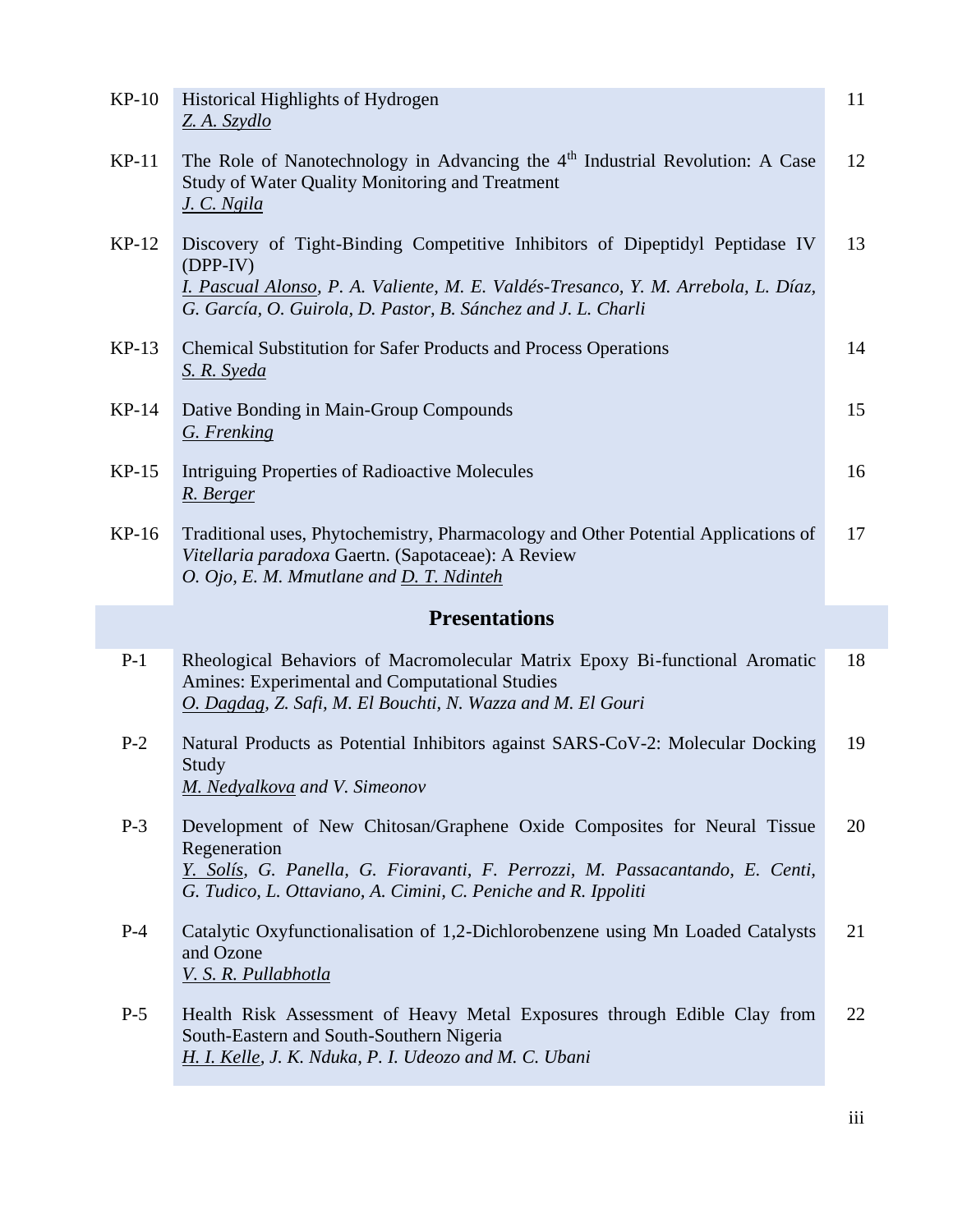| $KP-10$ | Historical Highlights of Hydrogen<br>Z. A. Szydlo                                                                                                                                                                                                 | 11 |
|---------|---------------------------------------------------------------------------------------------------------------------------------------------------------------------------------------------------------------------------------------------------|----|
| $KP-11$ | The Role of Nanotechnology in Advancing the $4th$ Industrial Revolution: A Case<br>Study of Water Quality Monitoring and Treatment<br>J. C. Ngila                                                                                                 | 12 |
| $KP-12$ | Discovery of Tight-Binding Competitive Inhibitors of Dipeptidyl Peptidase IV<br>$(DPP-IV)$<br>I. Pascual Alonso, P. A. Valiente, M. E. Valdés-Tresanco, Y. M. Arrebola, L. Díaz,<br>G. García, O. Guirola, D. Pastor, B. Sánchez and J. L. Charli | 13 |
| $KP-13$ | <b>Chemical Substitution for Safer Products and Process Operations</b><br>S. R. Syeda                                                                                                                                                             | 14 |
| $KP-14$ | Dative Bonding in Main-Group Compounds<br>G. Frenking                                                                                                                                                                                             | 15 |
| $KP-15$ | Intriguing Properties of Radioactive Molecules<br>R. Berger                                                                                                                                                                                       | 16 |
| $KP-16$ | Traditional uses, Phytochemistry, Pharmacology and Other Potential Applications of<br>Vitellaria paradoxa Gaertn. (Sapotaceae): A Review<br>O. Ojo, E. M. Mmutlane and D. T. Ndinteh                                                              | 17 |
|         | <b>Presentations</b>                                                                                                                                                                                                                              |    |
| $P-1$   | Rheological Behaviors of Macromolecular Matrix Epoxy Bi-functional Aromatic<br>Amines: Experimental and Computational Studies<br>O. Dagdag, Z. Safi, M. El Bouchti, N. Wazza and M. El Gouri                                                      | 18 |
| $P-2$   |                                                                                                                                                                                                                                                   |    |
|         | Natural Products as Potential Inhibitors against SARS-CoV-2: Molecular Docking<br>Study<br>M. Nedyalkova and V. Simeonov                                                                                                                          | 19 |
| $P-3$   | Development of New Chitosan/Graphene Oxide Composites for Neural Tissue<br>Regeneration<br>Y. Solís, G. Panella, G. Fioravanti, F. Perrozzi, M. Passacantando, E. Centi,<br>G. Tudico, L. Ottaviano, A. Cimini, C. Peniche and R. Ippoliti        | 20 |
| $P-4$   | Catalytic Oxyfunctionalisation of 1,2-Dichlorobenzene using Mn Loaded Catalysts<br>and Ozone<br>V. S. R. Pullabhotla                                                                                                                              | 21 |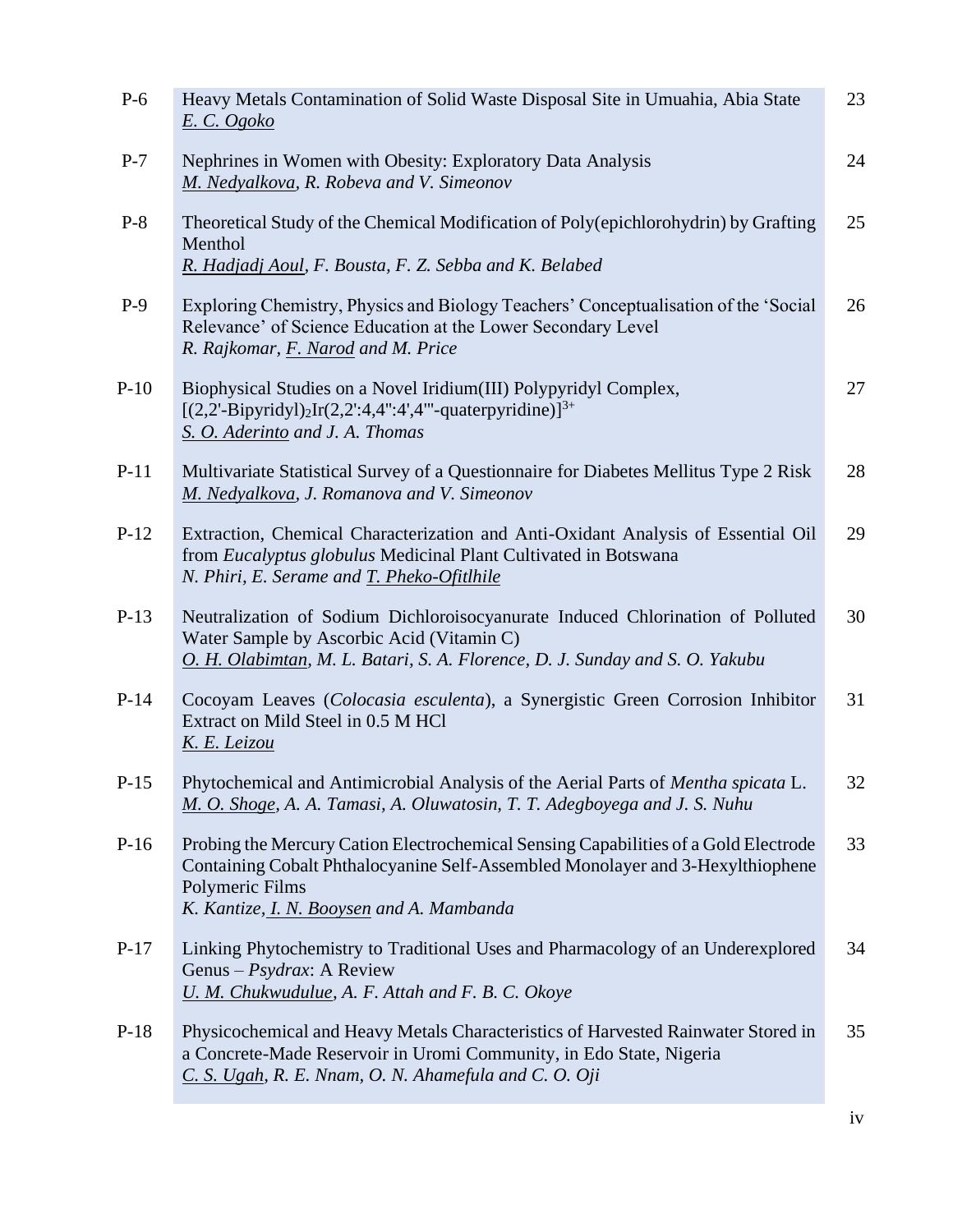| $P-6$  | Heavy Metals Contamination of Solid Waste Disposal Site in Umuahia, Abia State<br>E. C. Ogoko                                                                                                                                         | 23 |
|--------|---------------------------------------------------------------------------------------------------------------------------------------------------------------------------------------------------------------------------------------|----|
| $P-7$  | Nephrines in Women with Obesity: Exploratory Data Analysis<br>M. Nedyalkova, R. Robeva and V. Simeonov                                                                                                                                | 24 |
| $P-8$  | Theoretical Study of the Chemical Modification of Poly(epichlorohydrin) by Grafting<br>Menthol<br>R. Hadjadj Aoul, F. Bousta, F. Z. Sebba and K. Belabed                                                                              | 25 |
| $P-9$  | Exploring Chemistry, Physics and Biology Teachers' Conceptualisation of the 'Social<br>Relevance' of Science Education at the Lower Secondary Level<br>R. Rajkomar, F. Narod and M. Price                                             | 26 |
| $P-10$ | Biophysical Studies on a Novel Iridium (III) Polypyridyl Complex,<br>$[(2,2^{\circ}-Bipyridy])_{2}Ir(2,2^{\circ}:4,4^{\circ}:4^{\circ},4^{\circ\circ}-quaterpyridine)]^{3+}$<br>S. O. Aderinto and J. A. Thomas                       | 27 |
| $P-11$ | Multivariate Statistical Survey of a Questionnaire for Diabetes Mellitus Type 2 Risk<br>M. Nedyalkova, J. Romanova and V. Simeonov                                                                                                    | 28 |
| $P-12$ | Extraction, Chemical Characterization and Anti-Oxidant Analysis of Essential Oil<br>from Eucalyptus globulus Medicinal Plant Cultivated in Botswana<br>N. Phiri, E. Serame and T. Pheko-Ofithile                                      | 29 |
| $P-13$ | Neutralization of Sodium Dichloroisocyanurate Induced Chlorination of Polluted<br>Water Sample by Ascorbic Acid (Vitamin C)<br>O. H. Olabimtan, M. L. Batari, S. A. Florence, D. J. Sunday and S. O. Yakubu                           | 30 |
| $P-14$ | Cocoyam Leaves (Colocasia esculenta), a Synergistic Green Corrosion Inhibitor<br>Extract on Mild Steel in 0.5 M HCl<br>K. E. Leizou                                                                                                   | 31 |
| $P-15$ | Phytochemical and Antimicrobial Analysis of the Aerial Parts of Mentha spicata L.<br>M. O. Shoge, A. A. Tamasi, A. Oluwatosin, T. T. Adegboyega and J. S. Nuhu                                                                        | 32 |
| $P-16$ | Probing the Mercury Cation Electrochemical Sensing Capabilities of a Gold Electrode<br>Containing Cobalt Phthalocyanine Self-Assembled Monolayer and 3-Hexylthiophene<br>Polymeric Films<br>K. Kantize, I. N. Booysen and A. Mambanda | 33 |
| $P-17$ | Linking Phytochemistry to Traditional Uses and Pharmacology of an Underexplored<br>Genus - $Psydrax$ : A Review<br>U. M. Chukwudulue, A. F. Attah and F. B. C. Okoye                                                                  | 34 |
| $P-18$ | Physicochemical and Heavy Metals Characteristics of Harvested Rainwater Stored in<br>a Concrete-Made Reservoir in Uromi Community, in Edo State, Nigeria<br>C. S. Ugah, R. E. Nnam, O. N. Ahamefula and C. O. Oji                     | 35 |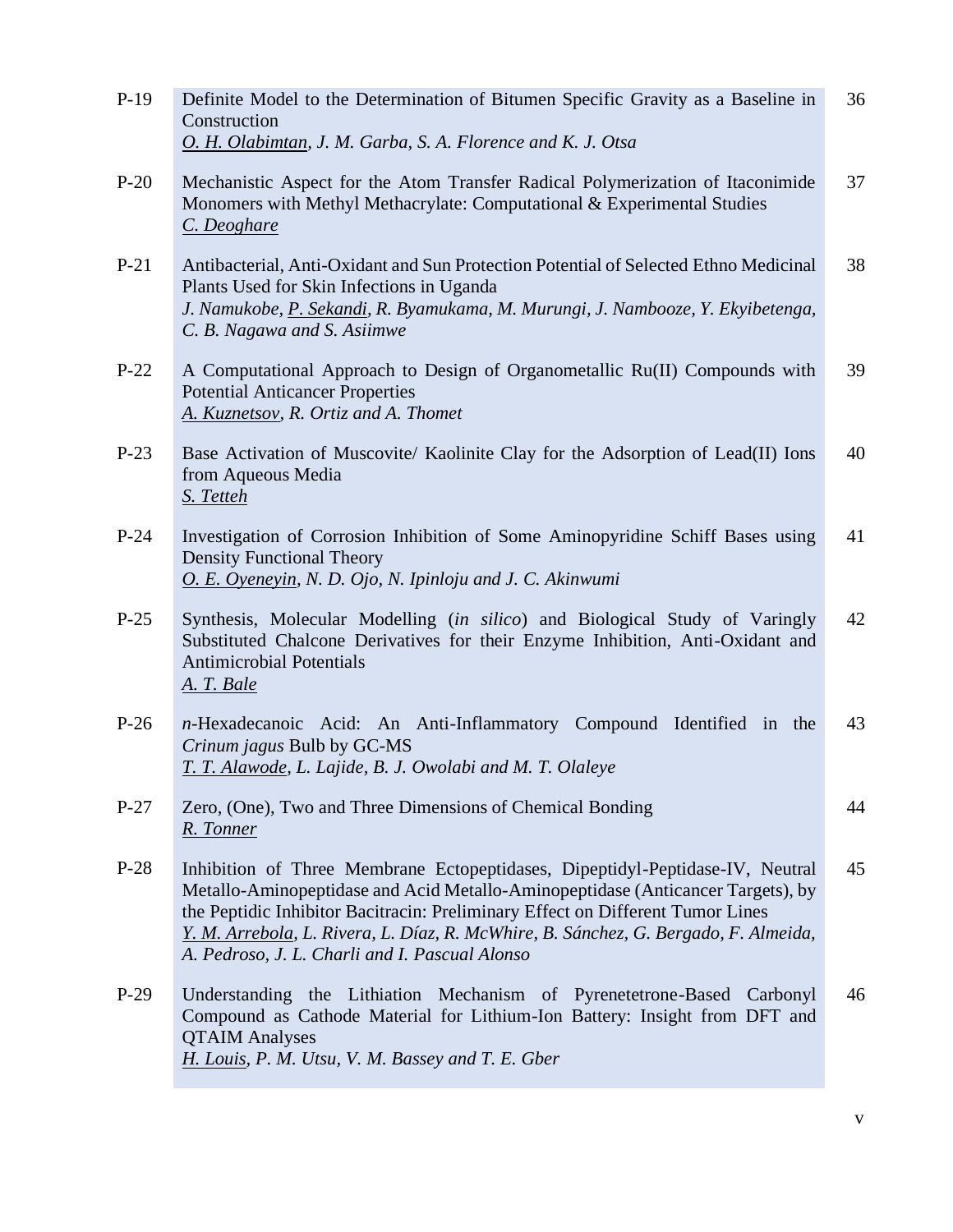| $P-19$ | Definite Model to the Determination of Bitumen Specific Gravity as a Baseline in<br>Construction<br>O. H. Olabimtan, J. M. Garba, S. A. Florence and K. J. Otsa                                                                                                                                                                                                                             | 36 |
|--------|---------------------------------------------------------------------------------------------------------------------------------------------------------------------------------------------------------------------------------------------------------------------------------------------------------------------------------------------------------------------------------------------|----|
| $P-20$ | Mechanistic Aspect for the Atom Transfer Radical Polymerization of Itaconimide<br>Monomers with Methyl Methacrylate: Computational & Experimental Studies<br>C. Deoghare                                                                                                                                                                                                                    | 37 |
| $P-21$ | Antibacterial, Anti-Oxidant and Sun Protection Potential of Selected Ethno Medicinal<br>Plants Used for Skin Infections in Uganda<br>J. Namukobe, P. Sekandi, R. Byamukama, M. Murungi, J. Nambooze, Y. Ekyibetenga,<br>C. B. Nagawa and S. Asiimwe                                                                                                                                         | 38 |
| $P-22$ | A Computational Approach to Design of Organometallic Ru(II) Compounds with<br><b>Potential Anticancer Properties</b><br>A. Kuznetsov, R. Ortiz and A. Thomet                                                                                                                                                                                                                                | 39 |
| $P-23$ | Base Activation of Muscovite/ Kaolinite Clay for the Adsorption of Lead(II) Ions<br>from Aqueous Media<br>S. Tetteh                                                                                                                                                                                                                                                                         | 40 |
| $P-24$ | Investigation of Corrosion Inhibition of Some Aminopyridine Schiff Bases using<br><b>Density Functional Theory</b><br>O. E. Oyeneyin, N. D. Ojo, N. Ipinloju and J. C. Akinwumi                                                                                                                                                                                                             | 41 |
| $P-25$ | Synthesis, Molecular Modelling (in silico) and Biological Study of Varingly<br>Substituted Chalcone Derivatives for their Enzyme Inhibition, Anti-Oxidant and<br><b>Antimicrobial Potentials</b><br><u>A. T. Bale</u>                                                                                                                                                                       | 42 |
| $P-26$ | n-Hexadecanoic Acid: An Anti-Inflammatory Compound Identified in the<br>Crinum jagus Bulb by GC-MS<br>T. T. Alawode, L. Lajide, B. J. Owolabi and M. T. Olaleye                                                                                                                                                                                                                             | 43 |
| $P-27$ | Zero, (One), Two and Three Dimensions of Chemical Bonding<br>R. Tonner                                                                                                                                                                                                                                                                                                                      | 44 |
| $P-28$ | Inhibition of Three Membrane Ectopeptidases, Dipeptidyl-Peptidase-IV, Neutral<br>Metallo-Aminopeptidase and Acid Metallo-Aminopeptidase (Anticancer Targets), by<br>the Peptidic Inhibitor Bacitracin: Preliminary Effect on Different Tumor Lines<br>Y. M. Arrebola, L. Rivera, L. Díaz, R. McWhire, B. Sánchez, G. Bergado, F. Almeida,<br>A. Pedroso, J. L. Charli and I. Pascual Alonso | 45 |
| $P-29$ | Understanding the Lithiation Mechanism of Pyrenetetrone-Based Carbonyl<br>Compound as Cathode Material for Lithium-Ion Battery: Insight from DFT and<br><b>QTAIM Analyses</b><br>H. Louis, P. M. Utsu, V. M. Bassey and T. E. Gber                                                                                                                                                          | 46 |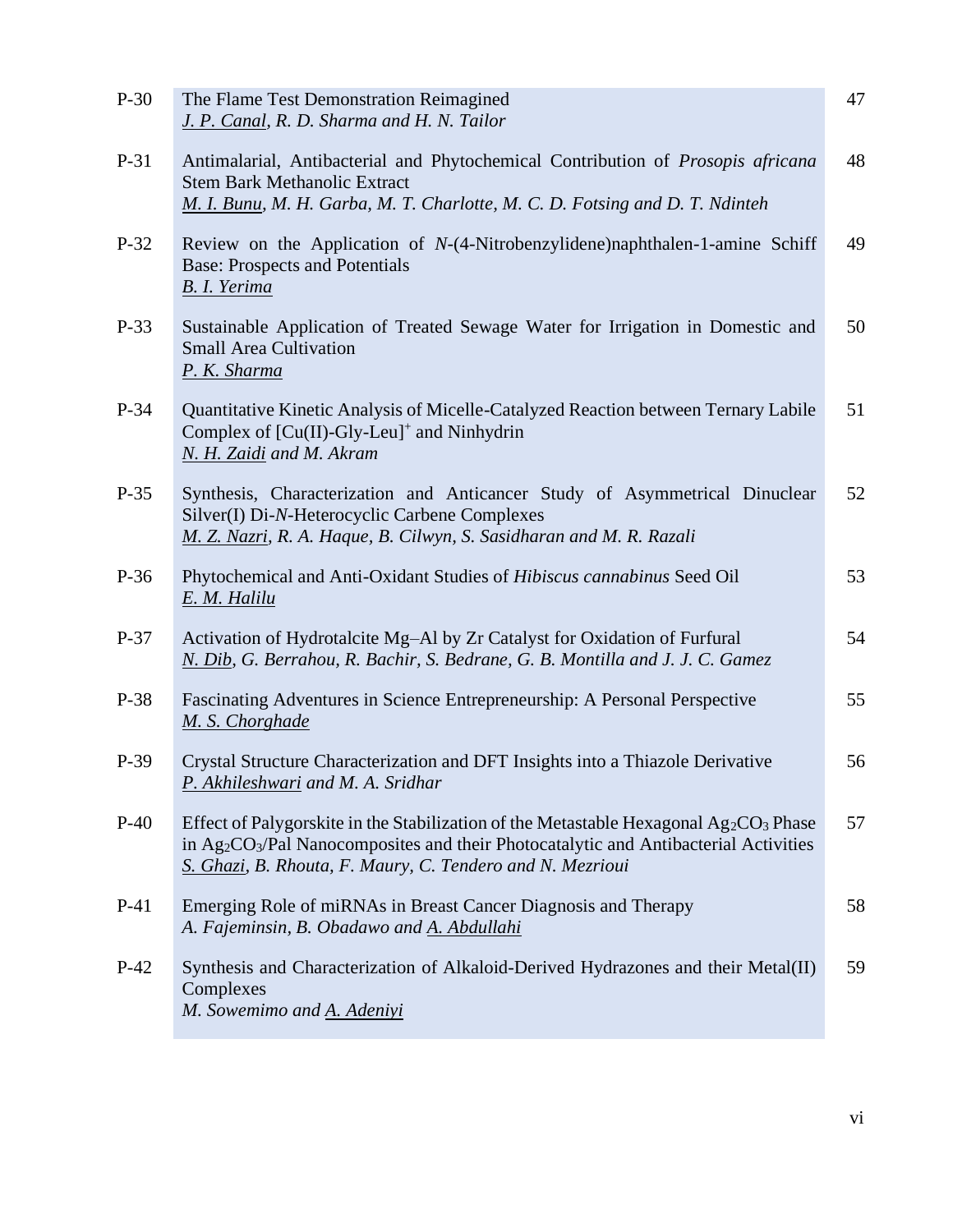| $P-30$ | The Flame Test Demonstration Reimagined<br>J. P. Canal, R. D. Sharma and H. N. Tailor                                                                                                                                                                                 | 47 |
|--------|-----------------------------------------------------------------------------------------------------------------------------------------------------------------------------------------------------------------------------------------------------------------------|----|
| $P-31$ | Antimalarial, Antibacterial and Phytochemical Contribution of Prosopis africana<br><b>Stem Bark Methanolic Extract</b><br>M. I. Bunu, M. H. Garba, M. T. Charlotte, M. C. D. Fotsing and D. T. Ndinteh                                                                | 48 |
| $P-32$ | Review on the Application of N-(4-Nitrobenzylidene)naphthalen-1-amine Schiff<br><b>Base: Prospects and Potentials</b><br><b>B.</b> I. Yerima                                                                                                                          | 49 |
| $P-33$ | Sustainable Application of Treated Sewage Water for Irrigation in Domestic and<br><b>Small Area Cultivation</b><br>P. K. Sharma                                                                                                                                       | 50 |
| $P-34$ | Quantitative Kinetic Analysis of Micelle-Catalyzed Reaction between Ternary Labile<br>Complex of $[Cu(II)-Gly-Leu]^+$ and Ninhydrin<br>N. H. Zaidi and M. Akram                                                                                                       | 51 |
| $P-35$ | Synthesis, Characterization and Anticancer Study of Asymmetrical Dinuclear<br>Silver(I) Di-N-Heterocyclic Carbene Complexes<br>M. Z. Nazri, R. A. Haque, B. Cilwyn, S. Sasidharan and M. R. Razali                                                                    | 52 |
| P-36   | Phytochemical and Anti-Oxidant Studies of Hibiscus cannabinus Seed Oil<br>E. M. Halilu                                                                                                                                                                                | 53 |
| $P-37$ | Activation of Hydrotalcite Mg-Al by Zr Catalyst for Oxidation of Furfural<br>N. Dib, G. Berrahou, R. Bachir, S. Bedrane, G. B. Montilla and J. J. C. Gamez                                                                                                            | 54 |
| P-38   | Fascinating Adventures in Science Entrepreneurship: A Personal Perspective<br>M. S. Chorghade                                                                                                                                                                         | 55 |
| P-39   | Crystal Structure Characterization and DFT Insights into a Thiazole Derivative<br>P. Akhileshwari and M. A. Sridhar                                                                                                                                                   | 56 |
| $P-40$ | Effect of Palygorskite in the Stabilization of the Metastable Hexagonal $Ag_2CO_3$ Phase<br>in Ag <sub>2</sub> CO <sub>3</sub> /Pal Nanocomposites and their Photocatalytic and Antibacterial Activities<br>S. Ghazi, B. Rhouta, F. Maury, C. Tendero and N. Mezrioui | 57 |
| $P-41$ | Emerging Role of miRNAs in Breast Cancer Diagnosis and Therapy<br>A. Fajeminsin, B. Obadawo and A. Abdullahi                                                                                                                                                          | 58 |
| $P-42$ | Synthesis and Characterization of Alkaloid-Derived Hydrazones and their Metal(II)<br>Complexes<br>M. Sowemimo and A. Adeniyi                                                                                                                                          | 59 |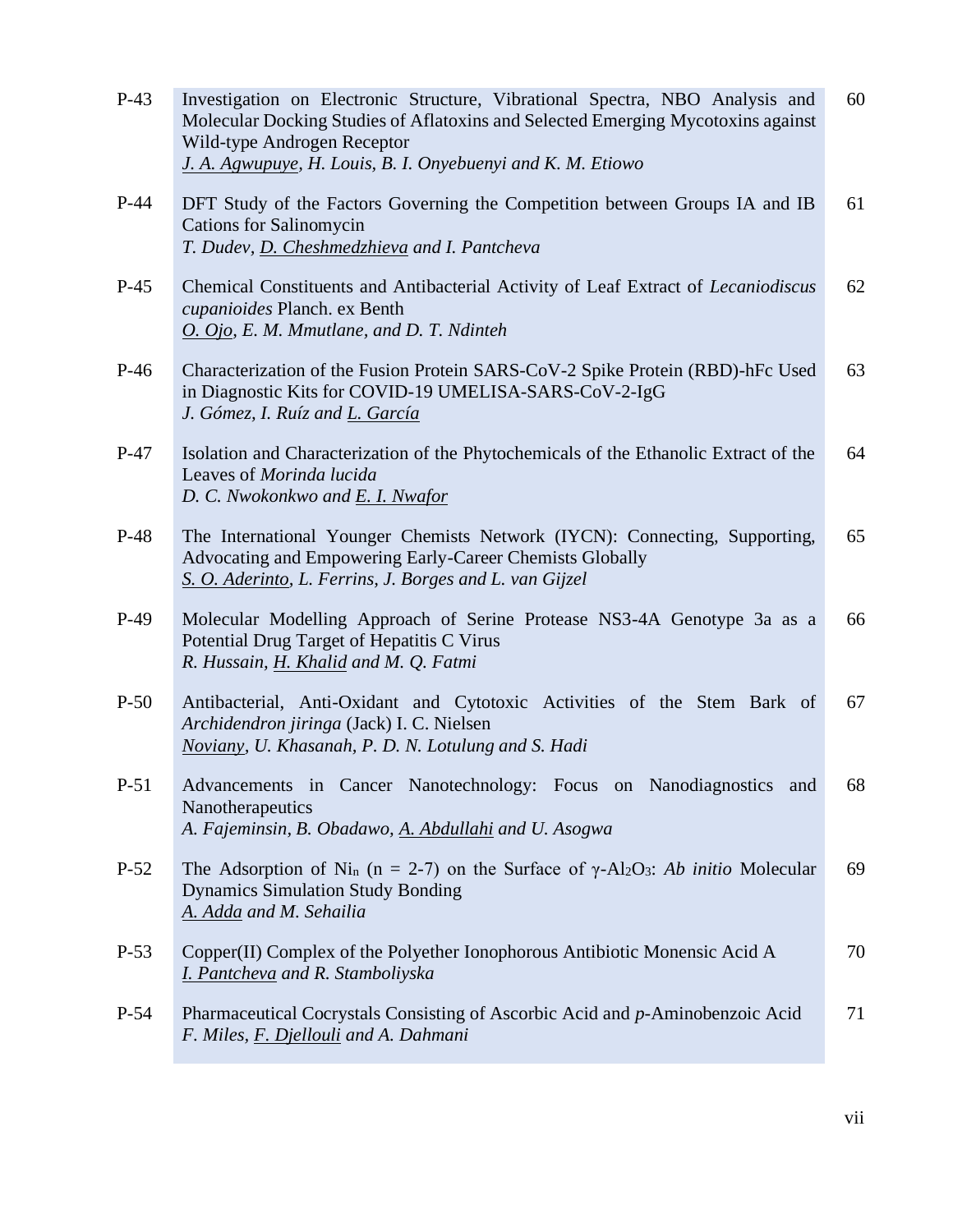| $P-43$ | Investigation on Electronic Structure, Vibrational Spectra, NBO Analysis and<br>Molecular Docking Studies of Aflatoxins and Selected Emerging Mycotoxins against<br>Wild-type Androgen Receptor<br>J. A. Agwupuye, H. Louis, B. I. Onyebuenyi and K. M. Etiowo | 60 |
|--------|----------------------------------------------------------------------------------------------------------------------------------------------------------------------------------------------------------------------------------------------------------------|----|
| $P-44$ | DFT Study of the Factors Governing the Competition between Groups IA and IB<br><b>Cations for Salinomycin</b><br>T. Dudev, D. Cheshmedzhieva and I. Pantcheva                                                                                                  | 61 |
| $P-45$ | Chemical Constituents and Antibacterial Activity of Leaf Extract of <i>Lecaniodiscus</i><br>cupanioides Planch. ex Benth<br>O. Ojo, E. M. Mmutlane, and D. T. Ndinteh                                                                                          | 62 |
| $P-46$ | Characterization of the Fusion Protein SARS-CoV-2 Spike Protein (RBD)-hFc Used<br>in Diagnostic Kits for COVID-19 UMELISA-SARS-CoV-2-IgG<br>J. Gómez, I. Ruíz and L. García                                                                                    | 63 |
| $P-47$ | Isolation and Characterization of the Phytochemicals of the Ethanolic Extract of the<br>Leaves of Morinda lucida<br>D. C. Nwokonkwo and E. I. Nwafor                                                                                                           | 64 |
| $P-48$ | The International Younger Chemists Network (IYCN): Connecting, Supporting,<br>Advocating and Empowering Early-Career Chemists Globally<br>S. O. Aderinto, L. Ferrins, J. Borges and L. van Gijzel                                                              | 65 |
| $P-49$ | Molecular Modelling Approach of Serine Protease NS3-4A Genotype 3a as a<br>Potential Drug Target of Hepatitis C Virus<br>R. Hussain, H. Khalid and M. Q. Fatmi                                                                                                 | 66 |
| $P-50$ | Antibacterial, Anti-Oxidant and Cytotoxic Activities of the Stem Bark of<br>Archidendron jiringa (Jack) I. C. Nielsen<br>Noviany, U. Khasanah, P. D. N. Lotulung and S. Hadi                                                                                   | 67 |
| $P-51$ | Advancements in Cancer Nanotechnology: Focus on Nanodiagnostics and<br>Nanotherapeutics<br>A. Fajeminsin, B. Obadawo, A. Abdullahi and U. Asogwa                                                                                                               | 68 |
| $P-52$ | The Adsorption of Ni <sub>n</sub> (n = 2-7) on the Surface of $\gamma$ -Al <sub>2</sub> O <sub>3</sub> : Ab initio Molecular<br><b>Dynamics Simulation Study Bonding</b><br>A. Adda and M. Sehailia                                                            | 69 |
| $P-53$ | Copper(II) Complex of the Polyether Ionophorous Antibiotic Monensic Acid A<br>I. Pantcheva and R. Stamboliyska                                                                                                                                                 | 70 |
| $P-54$ | Pharmaceutical Cocrystals Consisting of Ascorbic Acid and p-Aminobenzoic Acid<br>F. Miles, F. Djellouli and A. Dahmani                                                                                                                                         | 71 |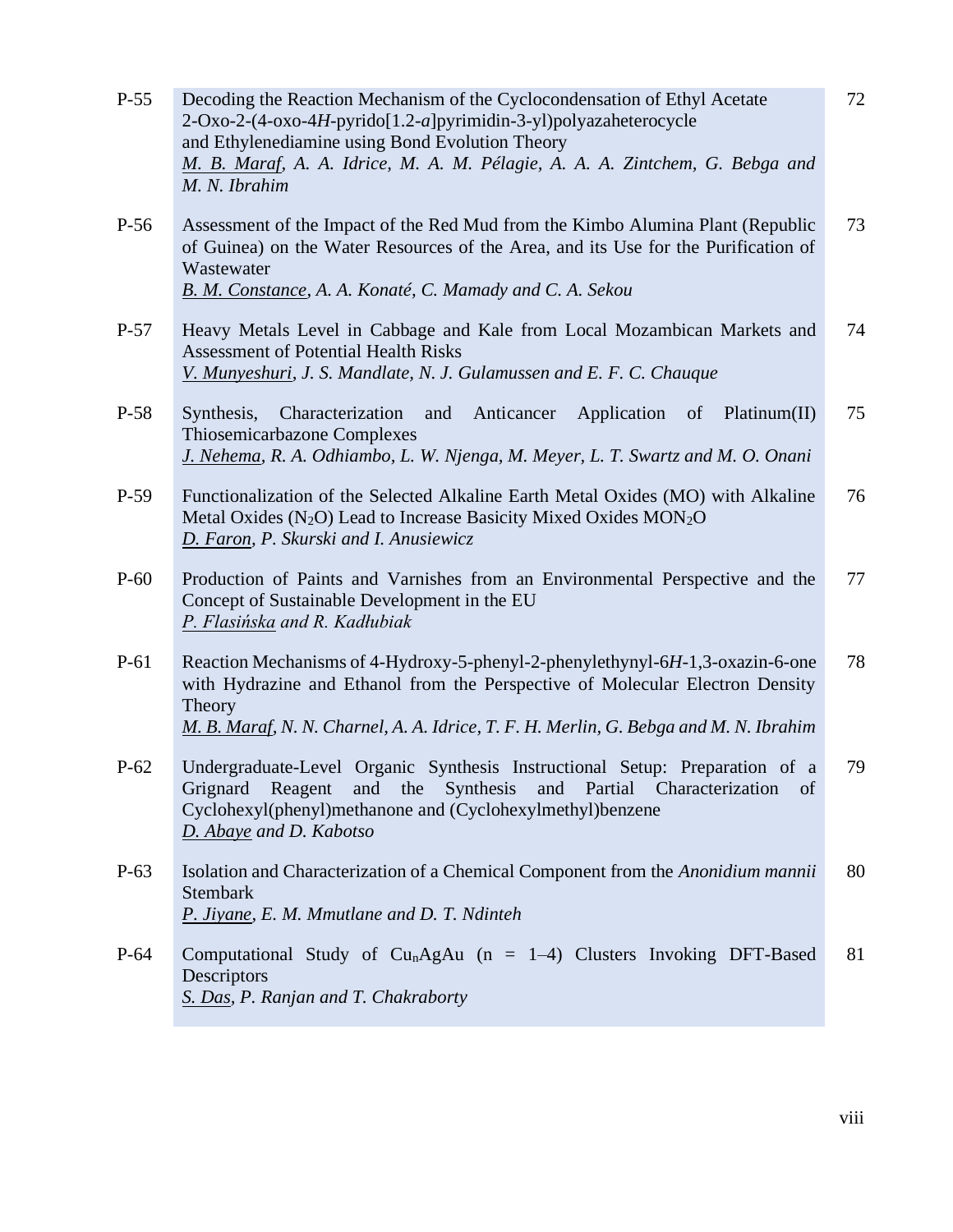| $P-55$ | Decoding the Reaction Mechanism of the Cyclocondensation of Ethyl Acetate<br>2-Oxo-2-(4-oxo-4H-pyrido[1.2-a]pyrimidin-3-yl)polyazaheterocycle<br>and Ethylenediamine using Bond Evolution Theory<br>M. B. Maraf, A. A. Idrice, M. A. M. Pélagie, A. A. A. Zintchem, G. Bebga and<br>M. N. Ibrahim | 72 |
|--------|---------------------------------------------------------------------------------------------------------------------------------------------------------------------------------------------------------------------------------------------------------------------------------------------------|----|
| $P-56$ | Assessment of the Impact of the Red Mud from the Kimbo Alumina Plant (Republic<br>of Guinea) on the Water Resources of the Area, and its Use for the Purification of<br>Wastewater<br>B. M. Constance, A. A. Konaté, C. Mamady and C. A. Sekou                                                    | 73 |
| $P-57$ | Heavy Metals Level in Cabbage and Kale from Local Mozambican Markets and<br><b>Assessment of Potential Health Risks</b><br>V. Munyeshuri, J. S. Mandlate, N. J. Gulamussen and E. F. C. Chauque                                                                                                   | 74 |
| P-58   | Anticancer<br>Application of Platinum(II)<br>Synthesis,<br>Characterization<br>and<br>Thiosemicarbazone Complexes<br>J. Nehema, R. A. Odhiambo, L. W. Njenga, M. Meyer, L. T. Swartz and M. O. Onani                                                                                              | 75 |
| $P-59$ | Functionalization of the Selected Alkaline Earth Metal Oxides (MO) with Alkaline<br>Metal Oxides (N <sub>2</sub> O) Lead to Increase Basicity Mixed Oxides MON <sub>2</sub> O<br>D. Faron, P. Skurski and I. Anusiewicz                                                                           | 76 |
| $P-60$ | Production of Paints and Varnishes from an Environmental Perspective and the<br>Concept of Sustainable Development in the EU<br>P. Flasińska and R. Kadłubiak                                                                                                                                     | 77 |
| $P-61$ | Reaction Mechanisms of 4-Hydroxy-5-phenyl-2-phenylethynyl-6H-1,3-oxazin-6-one<br>with Hydrazine and Ethanol from the Perspective of Molecular Electron Density<br>Theory<br>M. B. Maraf, N. N. Charnel, A. A. Idrice, T. F. H. Merlin, G. Bebga and M. N. Ibrahim                                 | 78 |
| $P-62$ | Undergraduate-Level Organic Synthesis Instructional Setup: Preparation of a<br>Grignard Reagent and the Synthesis and Partial Characterization<br>of<br>Cyclohexyl(phenyl)methanone and (Cyclohexylmethyl)benzene<br>D. Abaye and D. Kabotso                                                      | 79 |
| $P-63$ | Isolation and Characterization of a Chemical Component from the Anonidium mannii<br>Stembark<br>P. Jiyane, E. M. Mmutlane and D. T. Ndinteh                                                                                                                                                       | 80 |
| $P-64$ | Computational Study of Cu <sub>n</sub> AgAu ( $n = 1-4$ ) Clusters Invoking DFT-Based<br>Descriptors<br>S. Das, P. Ranjan and T. Chakraborty                                                                                                                                                      | 81 |
|        |                                                                                                                                                                                                                                                                                                   |    |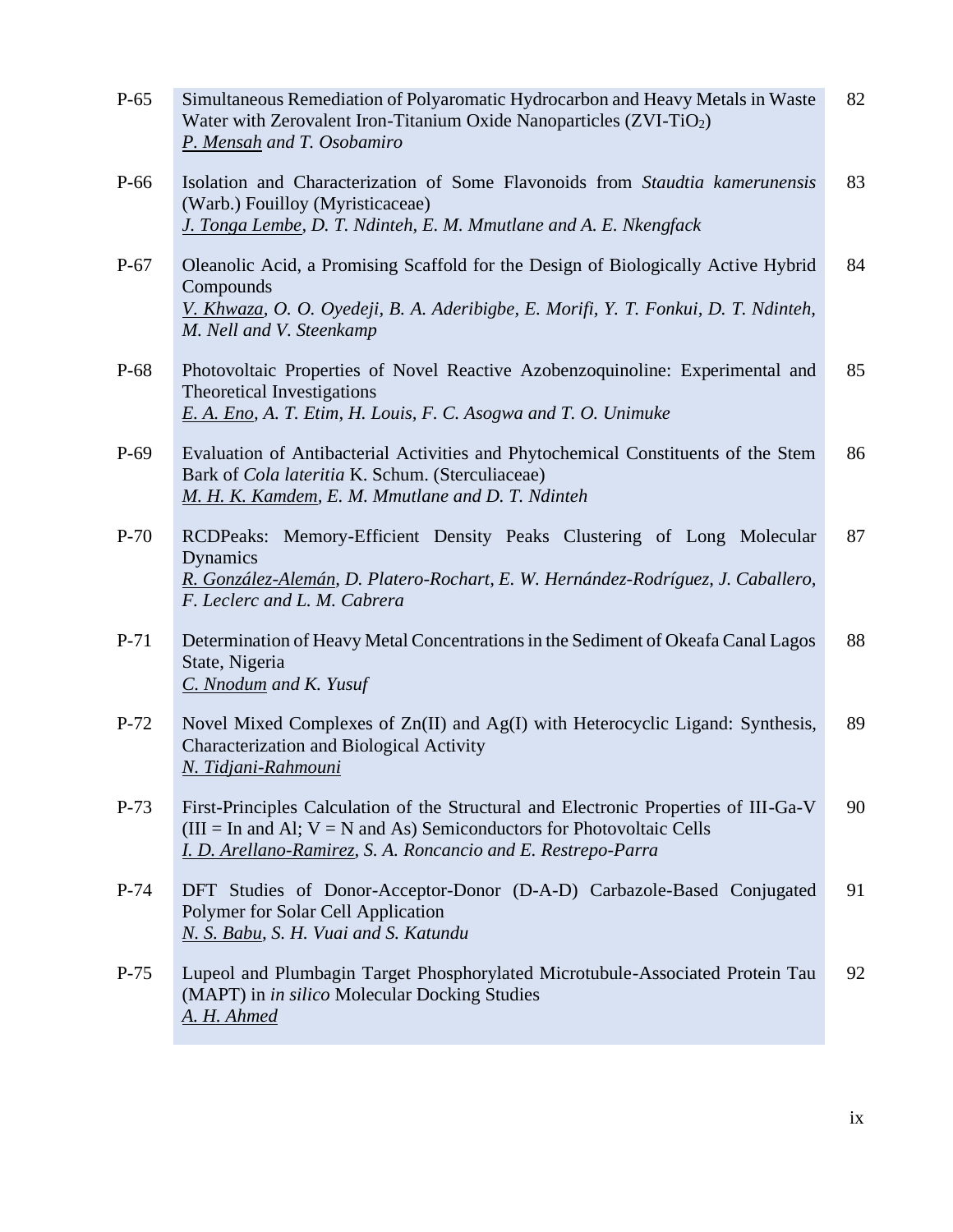| $P-65$ | Simultaneous Remediation of Polyaromatic Hydrocarbon and Heavy Metals in Waste<br>Water with Zerovalent Iron-Titanium Oxide Nanoparticles (ZVI-TiO <sub>2</sub> )<br>P. Mensah and T. Osobamiro                                     | 82 |
|--------|-------------------------------------------------------------------------------------------------------------------------------------------------------------------------------------------------------------------------------------|----|
| P-66   | Isolation and Characterization of Some Flavonoids from Staudtia kamerunensis<br>(Warb.) Fouilloy (Myristicaceae)<br>J. Tonga Lembe, D. T. Ndinteh, E. M. Mmutlane and A. E. Nkengfack                                               | 83 |
| $P-67$ | Oleanolic Acid, a Promising Scaffold for the Design of Biologically Active Hybrid<br>Compounds<br>V. Khwaza, O. O. Oyedeji, B. A. Aderibigbe, E. Morifi, Y. T. Fonkui, D. T. Ndinteh,<br>M. Nell and V. Steenkamp                   | 84 |
| P-68   | Photovoltaic Properties of Novel Reactive Azobenzoquinoline: Experimental and<br><b>Theoretical Investigations</b><br>E. A. Eno, A. T. Etim, H. Louis, F. C. Asogwa and T. O. Unimuke                                               | 85 |
| $P-69$ | Evaluation of Antibacterial Activities and Phytochemical Constituents of the Stem<br>Bark of Cola lateritia K. Schum. (Sterculiaceae)<br>M. H. K. Kamdem, E. M. Mmutlane and D. T. Ndinteh                                          | 86 |
| $P-70$ | RCDPeaks: Memory-Efficient Density Peaks Clustering of Long Molecular<br>Dynamics<br>R. González-Alemán, D. Platero-Rochart, E. W. Hernández-Rodríguez, J. Caballero,<br>F. Leclerc and L. M. Cabrera                               | 87 |
| $P-71$ | Determination of Heavy Metal Concentrations in the Sediment of Okeafa Canal Lagos<br>State, Nigeria<br>C. Nnodum and K. Yusuf                                                                                                       | 88 |
| $P-72$ | Novel Mixed Complexes of Zn(II) and Ag(I) with Heterocyclic Ligand: Synthesis,<br>Characterization and Biological Activity<br>N. Tidjani-Rahmouni                                                                                   | 89 |
| $P-73$ | First-Principles Calculation of the Structural and Electronic Properties of III-Ga-V<br>( $III = In$ and Al; $V = N$ and As) Semiconductors for Photovoltaic Cells<br>I. D. Arellano-Ramirez, S. A. Roncancio and E. Restrepo-Parra | 90 |
| $P-74$ | DFT Studies of Donor-Acceptor-Donor (D-A-D) Carbazole-Based Conjugated<br>Polymer for Solar Cell Application<br>N. S. Babu, S. H. Vuai and S. Katundu                                                                               | 91 |
| $P-75$ | Lupeol and Plumbagin Target Phosphorylated Microtubule-Associated Protein Tau<br>(MAPT) in <i>in silico</i> Molecular Docking Studies<br>A. H. Ahmed                                                                                | 92 |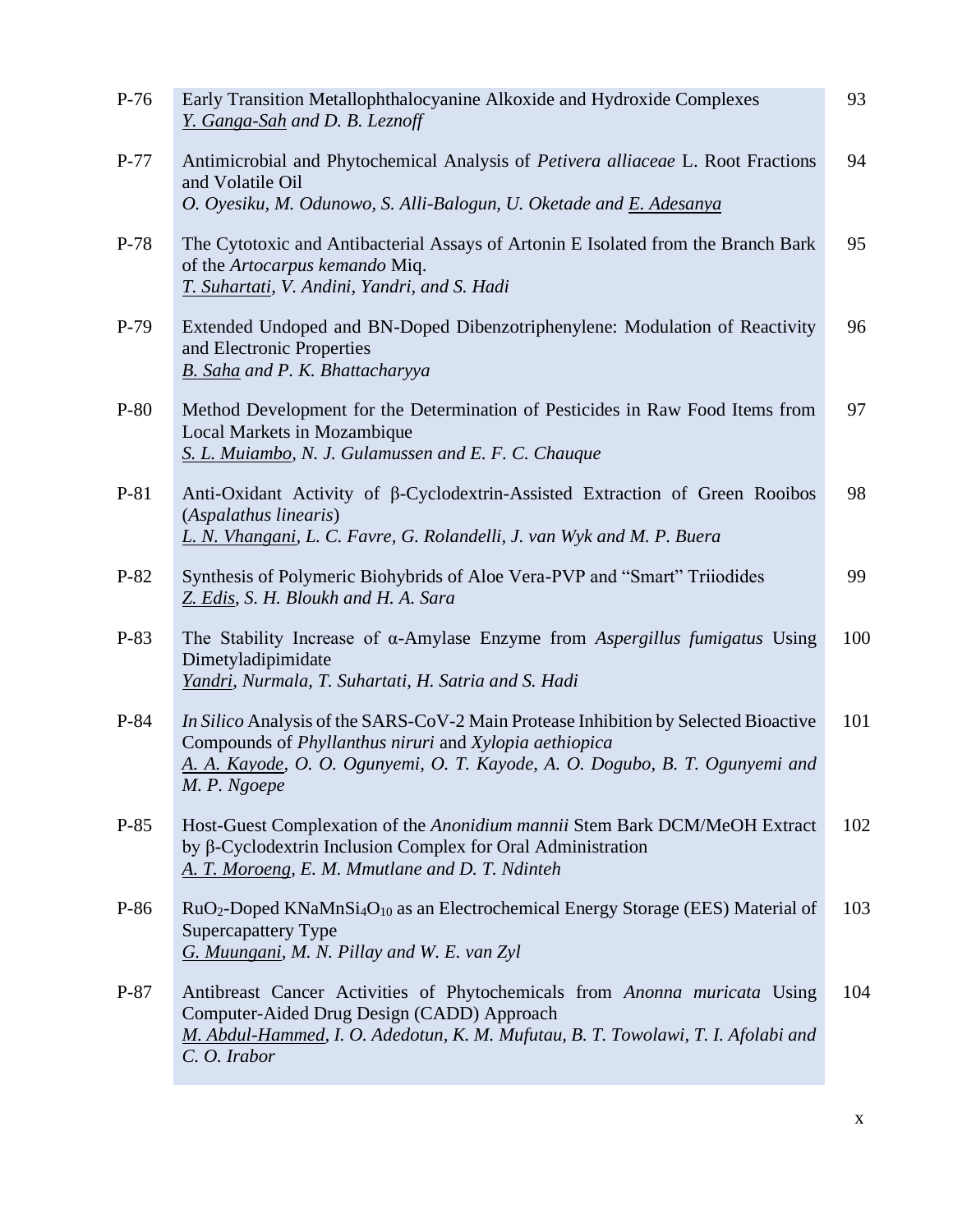| $P-77$<br>Antimicrobial and Phytochemical Analysis of <i>Petivera alliaceae</i> L. Root Fractions                                                                                                                                                       | 94  |
|---------------------------------------------------------------------------------------------------------------------------------------------------------------------------------------------------------------------------------------------------------|-----|
| and Volatile Oil<br>O. Oyesiku, M. Odunowo, S. Alli-Balogun, U. Oketade and E. Adesanya                                                                                                                                                                 |     |
| The Cytotoxic and Antibacterial Assays of Artonin E Isolated from the Branch Bark<br>$P-78$<br>of the Artocarpus kemando Miq.<br>T. Suhartati, V. Andini, Yandri, and S. Hadi                                                                           | 95  |
| Extended Undoped and BN-Doped Dibenzotriphenylene: Modulation of Reactivity<br>$P-79$<br>and Electronic Properties<br>B. Saha and P. K. Bhattacharyya                                                                                                   | 96  |
| $P-80$<br>Method Development for the Determination of Pesticides in Raw Food Items from<br>Local Markets in Mozambique<br>S. L. Muiambo, N. J. Gulamussen and E. F. C. Chauque                                                                          | 97  |
| Anti-Oxidant Activity of β-Cyclodextrin-Assisted Extraction of Green Rooibos<br>$P-81$<br>(Aspalathus linearis)<br>L. N. Vhangani, L. C. Favre, G. Rolandelli, J. van Wyk and M. P. Buera                                                               | 98  |
| P-82<br>Synthesis of Polymeric Biohybrids of Aloe Vera-PVP and "Smart" Triiodides<br>Z. Edis, S. H. Bloukh and H. A. Sara                                                                                                                               | 99  |
| The Stability Increase of $\alpha$ -Amylase Enzyme from Aspergillus fumigatus Using<br>$P-83$<br>Dimetyladipimidate<br>Yandri, Nurmala, T. Suhartati, H. Satria and S. Hadi                                                                             | 100 |
| In Silico Analysis of the SARS-CoV-2 Main Protease Inhibition by Selected Bioactive<br>$P-84$<br>Compounds of Phyllanthus niruri and Xylopia aethiopica<br>A. A. Kayode, O. O. Ogunyemi, O. T. Kayode, A. O. Dogubo, B. T. Ogunyemi and<br>M. P. Ngoepe | 101 |
| $P-85$<br>Host-Guest Complexation of the Anonidium mannii Stem Bark DCM/MeOH Extract<br>by $\beta$ -Cyclodextrin Inclusion Complex for Oral Administration<br>A. T. Moroeng, E. M. Mmutlane and D. T. Ndinteh                                           | 102 |
| P-86<br>RuO <sub>2</sub> -Doped KNaMnSi <sub>4</sub> O <sub>10</sub> as an Electrochemical Energy Storage (EES) Material of<br><b>Supercapattery Type</b><br>G. Muungani, M. N. Pillay and W. E. van Zyl                                                | 103 |
| $P-87$<br>Antibreast Cancer Activities of Phytochemicals from Anonna muricata Using<br>Computer-Aided Drug Design (CADD) Approach<br>M. Abdul-Hammed, I. O. Adedotun, K. M. Mufutau, B. T. Towolawi, T. I. Afolabi and<br>C. O. Irabor                  | 104 |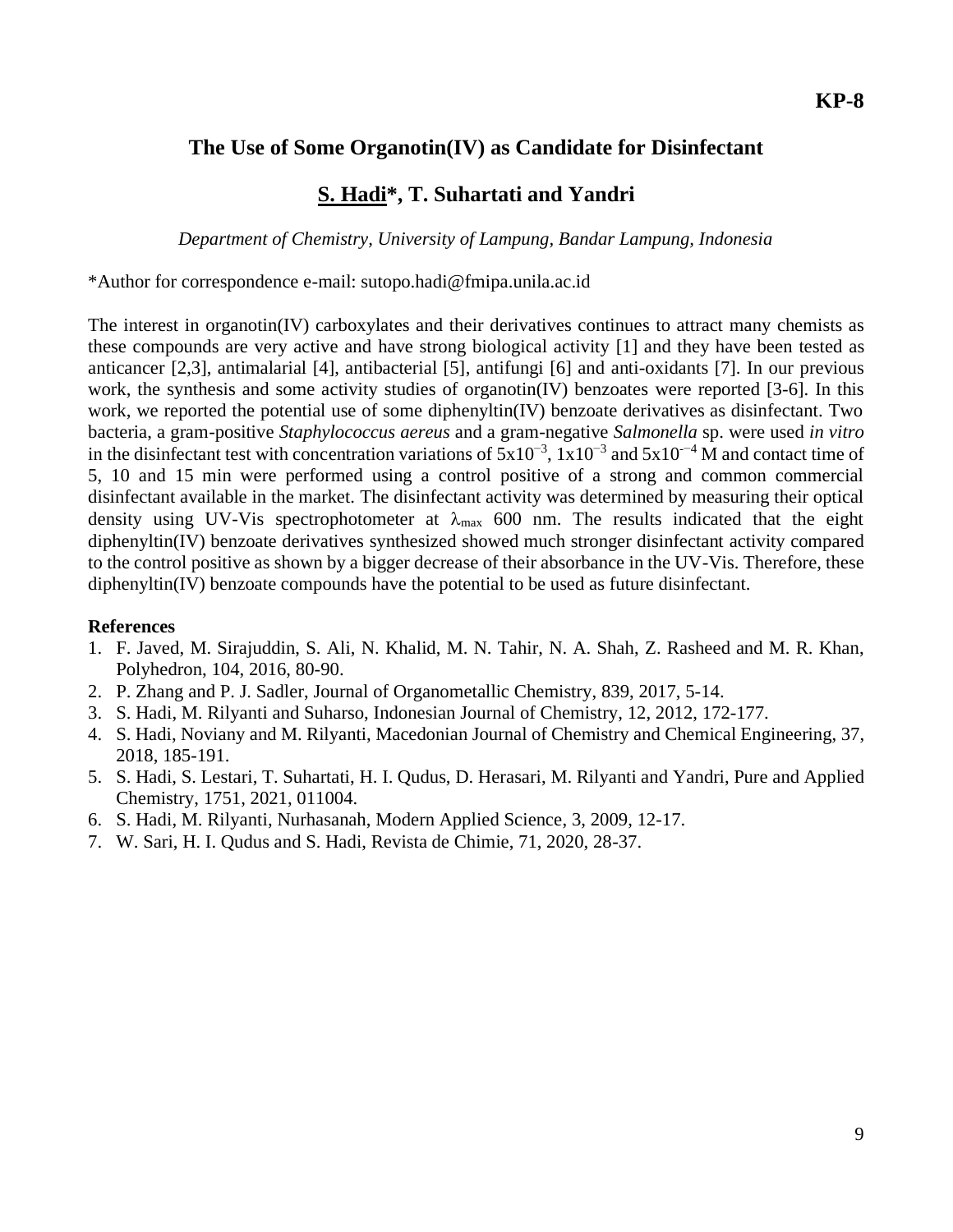### **The Use of Some Organotin(IV) as Candidate for Disinfectant**

#### **S. Hadi\*, T. Suhartati and Yandri**

*Department of Chemistry, University of Lampung, Bandar Lampung, Indonesia*

\*Author for correspondence e-mail: sutopo.hadi@fmipa.unila.ac.id

The interest in organotin(IV) carboxylates and their derivatives continues to attract many chemists as these compounds are very active and have strong biological activity [1] and they have been tested as anticancer [2,3], antimalarial [4], antibacterial [5], antifungi [6] and anti-oxidants [7]. In our previous work, the synthesis and some activity studies of organotin(IV) benzoates were reported [3-6]. In this work, we reported the potential use of some diphenyltin(IV) benzoate derivatives as disinfectant. Two bacteria, a gram-positive *Staphylococcus aereus* and a gram-negative *Salmonella* sp. were used *in vitro* in the disinfectant test with concentration variations of  $5x10^{-3}$ ,  $1x10^{-3}$  and  $5x10^{-4}$  M and contact time of 5, 10 and 15 min were performed using a control positive of a strong and common commercial disinfectant available in the market. The disinfectant activity was determined by measuring their optical density using UV-Vis spectrophotometer at  $\lambda_{\text{max}}$  600 nm. The results indicated that the eight diphenyltin(IV) benzoate derivatives synthesized showed much stronger disinfectant activity compared to the control positive as shown by a bigger decrease of their absorbance in the UV-Vis. Therefore, these diphenyltin(IV) benzoate compounds have the potential to be used as future disinfectant.

#### **References**

- 1. F. Javed, M. Sirajuddin, S. Ali, N. Khalid, M. N. Tahir, N. A. Shah, Z. Rasheed and M. R. Khan, Polyhedron, 104, 2016, 80-90.
- 2. P. Zhang and P. J. Sadler, Journal of Organometallic Chemistry, 839, 2017, 5-14.
- 3. S. Hadi, M. Rilyanti and Suharso, Indonesian Journal of Chemistry, 12, 2012, 172-177.
- 4. S. Hadi, Noviany and M. Rilyanti, Macedonian Journal of Chemistry and Chemical Engineering, 37, 2018, 185-191.
- 5. S. Hadi, S. Lestari, T. Suhartati, H. I. Qudus, D. Herasari, M. Rilyanti and Yandri, Pure and Applied Chemistry, 1751, 2021, 011004.
- 6. S. Hadi, M. Rilyanti, Nurhasanah, Modern Applied Science, 3, 2009, 12-17.
- 7. W. Sari, H. I. Qudus and S. Hadi, Revista de Chimie, 71, 2020, 28-37.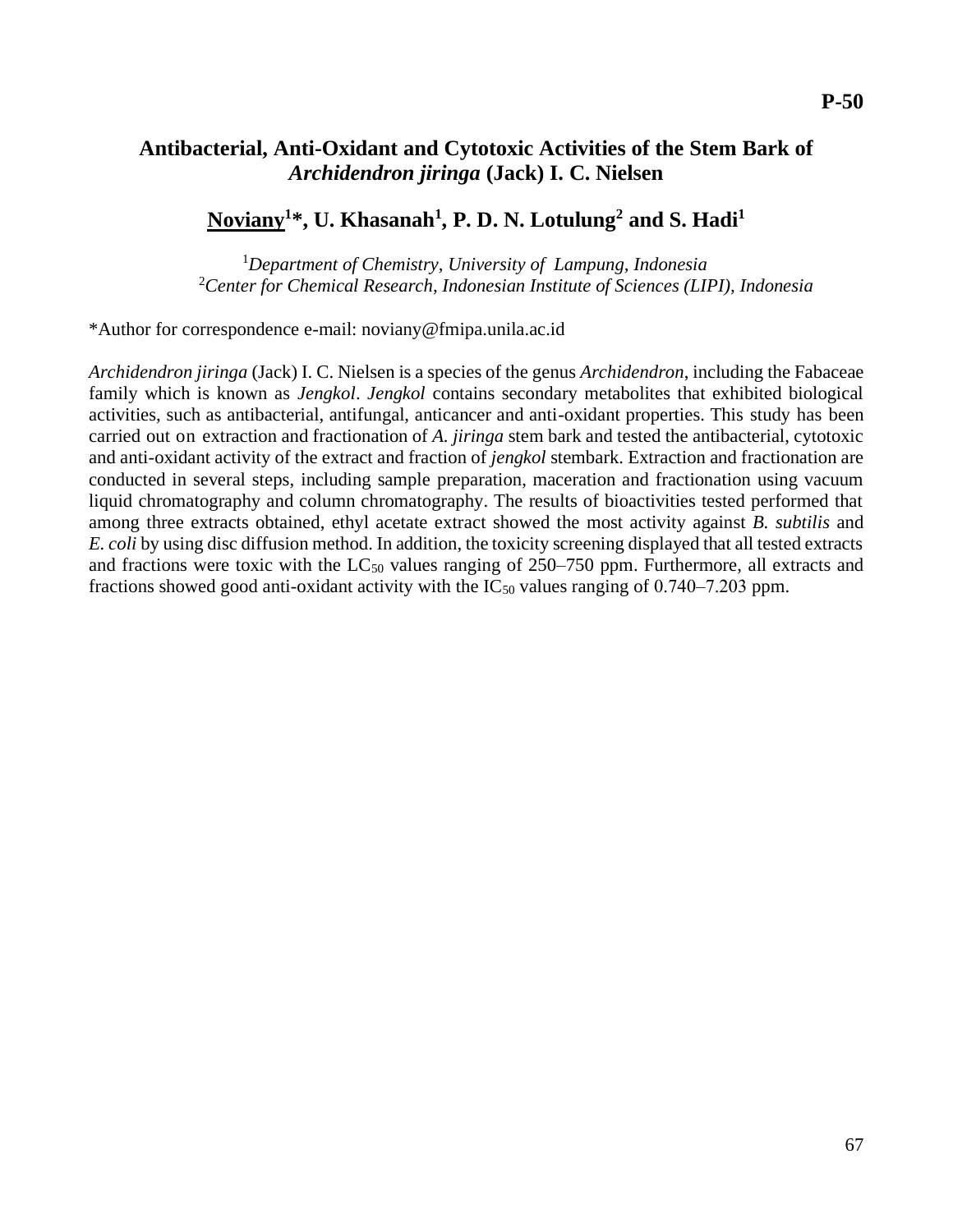#### **Antibacterial, Anti-Oxidant and Cytotoxic Activities of the Stem Bark of**  *Archidendron jiringa* **(Jack) I. C. Nielsen**

#### **Noviany<sup>1</sup>\*, U. Khasanah<sup>1</sup> , P. D. N. Lotulung<sup>2</sup> and S. Hadi<sup>1</sup>**

<sup>1</sup>*Department of Chemistry, University of Lampung, Indonesia* <sup>2</sup>*Center for Chemical Research, Indonesian Institute of Sciences (LIPI), Indonesia*

\*Author for correspondence e-mail: noviany@fmipa.unila.ac.id

*Archidendron jiringa* (Jack) I. C. Nielsen is a species of the genus *Archidendron*, including the Fabaceae family which is known as *Jengkol*. *Jengkol* contains secondary metabolites that exhibited biological activities, such as antibacterial, antifungal, anticancer and anti-oxidant properties. This study has been carried out on extraction and fractionation of *A. jiringa* stem bark and tested the antibacterial, cytotoxic and anti-oxidant activity of the extract and fraction of *jengkol* stembark. Extraction and fractionation are conducted in several steps, including sample preparation, maceration and fractionation using vacuum liquid chromatography and column chromatography. The results of bioactivities tested performed that among three extracts obtained, ethyl acetate extract showed the most activity against *B. subtilis* and *E. coli* by using disc diffusion method. In addition, the toxicity screening displayed that all tested extracts and fractions were toxic with the  $LC_{50}$  values ranging of 250–750 ppm. Furthermore, all extracts and fractions showed good anti-oxidant activity with the  $IC_{50}$  values ranging of 0.740–7.203 ppm.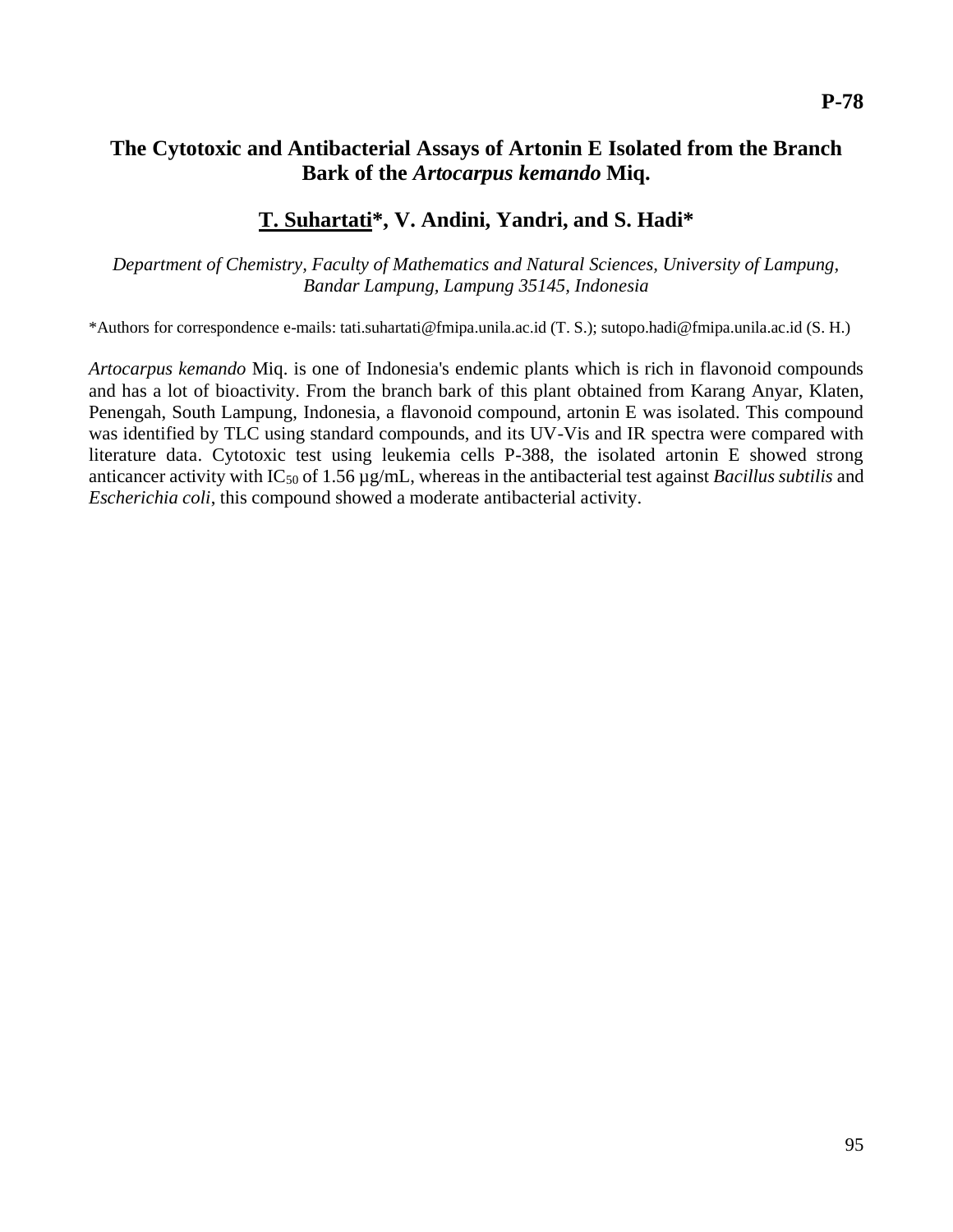#### **The Cytotoxic and Antibacterial Assays of Artonin E Isolated from the Branch Bark of the** *Artocarpus kemando* **Miq.**

#### **T. Suhartati\* , V. Andini, Yandri, and S. Hadi\***

*Department of Chemistry, Faculty of Mathematics and Natural Sciences, University of Lampung, Bandar Lampung, Lampung 35145, Indonesia*

\*Authors for correspondence e-mails: tati.suhartati@fmipa.unila.ac.id (T. S.); sutopo.hadi@fmipa.unila.ac.id (S. H.)

*Artocarpus kemando* Miq. is one of Indonesia's endemic plants which is rich in flavonoid compounds and has a lot of bioactivity. From the branch bark of this plant obtained from Karang Anyar, Klaten, Penengah, South Lampung, Indonesia, a flavonoid compound, artonin E was isolated. This compound was identified by TLC using standard compounds, and its UV-Vis and IR spectra were compared with literature data. Cytotoxic test using leukemia cells P-388, the isolated artonin E showed strong anticancer activity with IC<sub>50</sub> of 1.56 µg/mL, whereas in the antibacterial test against *Bacillus subtilis* and *Escherichia coli*, this compound showed a moderate antibacterial activity.